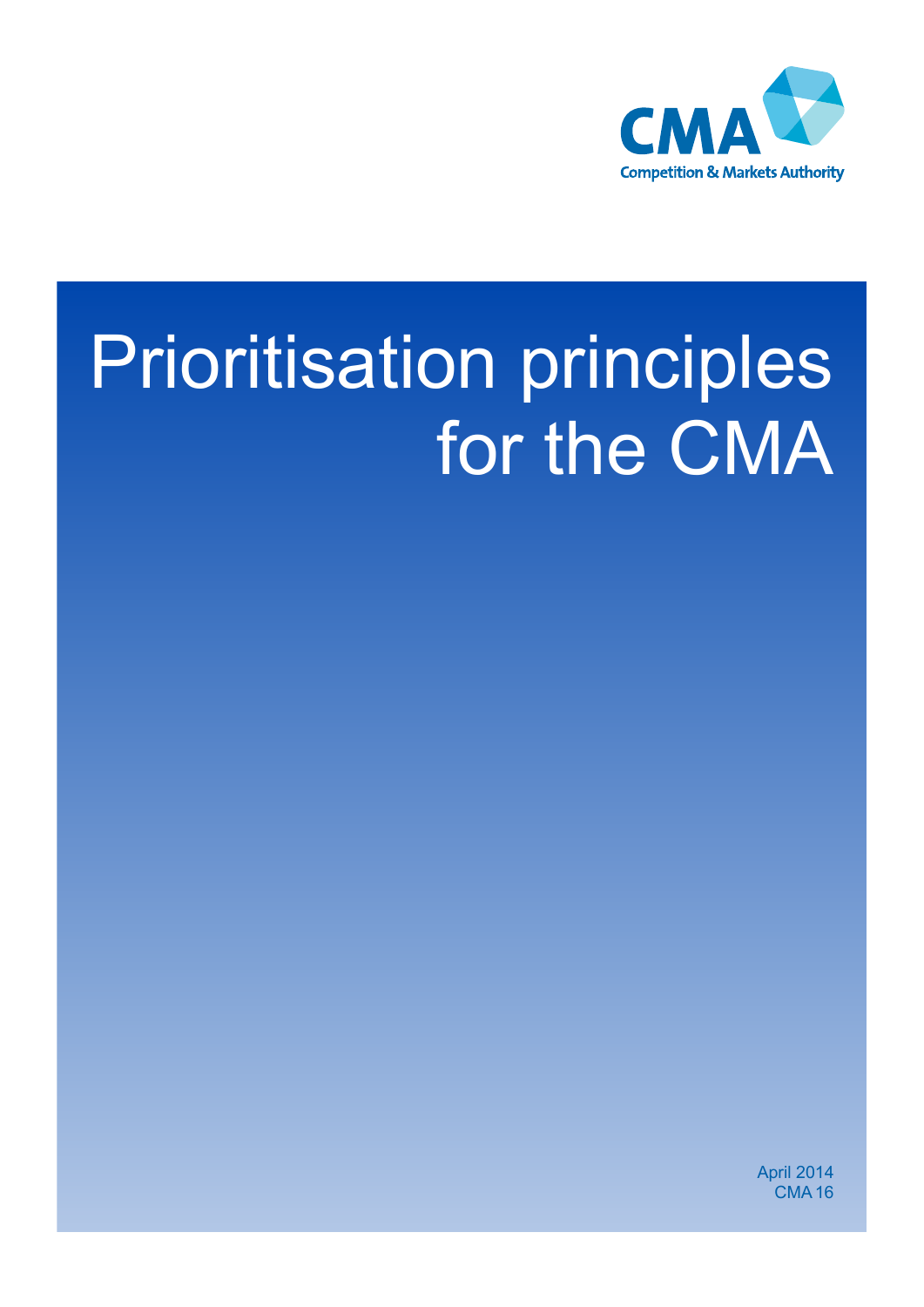

# Prioritisation principles for the CMA

April 2014 **CMA16**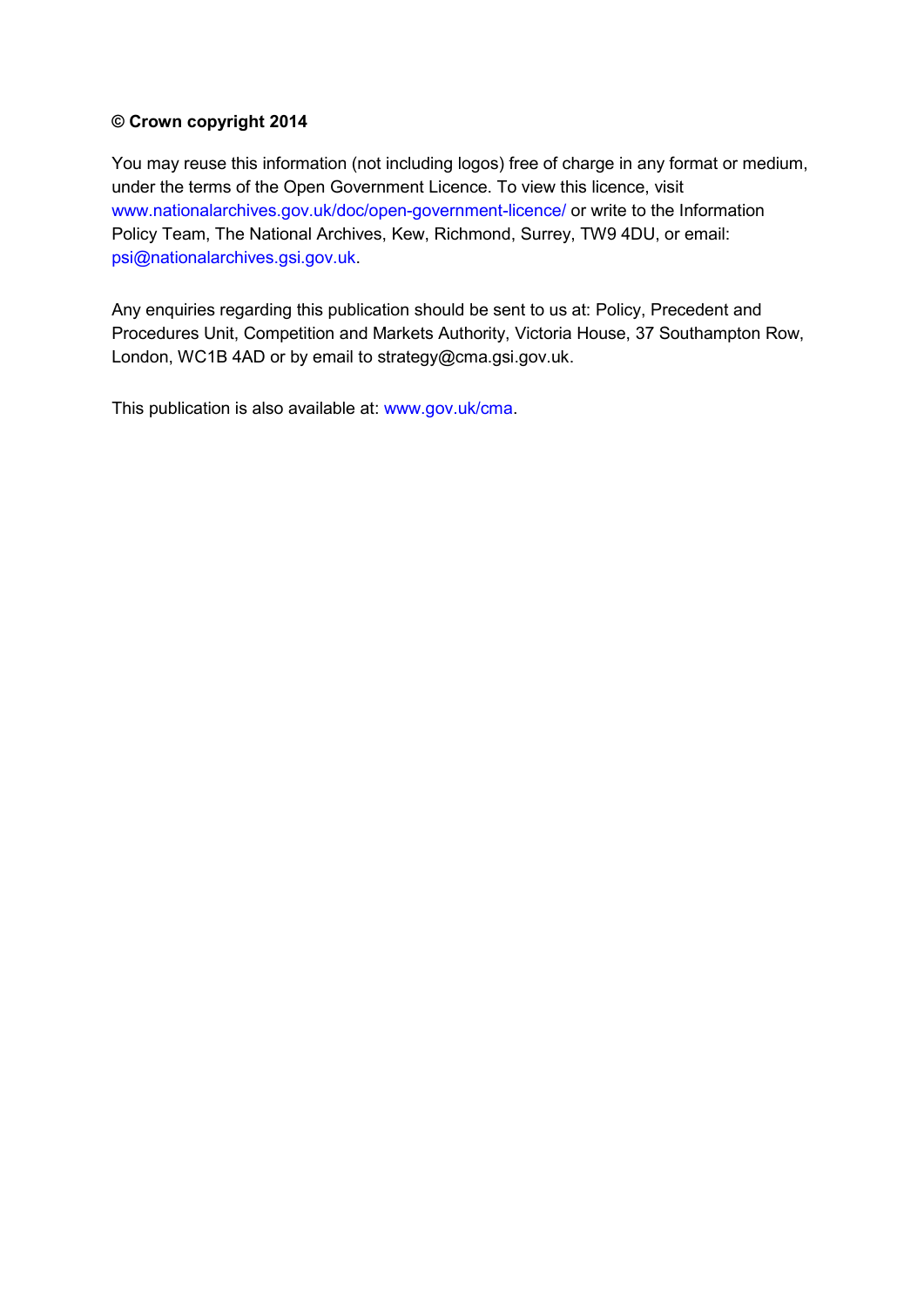#### **© Crown copyright 2014**

 Policy Team, The National Archives, Kew, Richmond, Surrey, TW9 4DU, or email: You may reuse this information (not including logos) free of charge in any format or medium, under the terms of the Open Government Licence. To view this licence, visit [www.nationalarchives.gov.uk/doc/open-government-licence/](http://www.nationalarchives.gov.uk/doc/open-government-licence/) or write to the Information [psi@nationalarchives.gsi.gov.uk.](mailto:psi@nationalarchives.gsi.gov.uk)

Any enquiries regarding this publication should be sent to us at: Policy, Precedent and Procedures Unit, Competition and Markets Authority, Victoria House, 37 Southampton Row, London, WC1B 4AD or by email to strategy@cma.gsi.gov.uk.

This publication is also available at: [www.gov.uk/cma.](http://www.gov.uk/cma)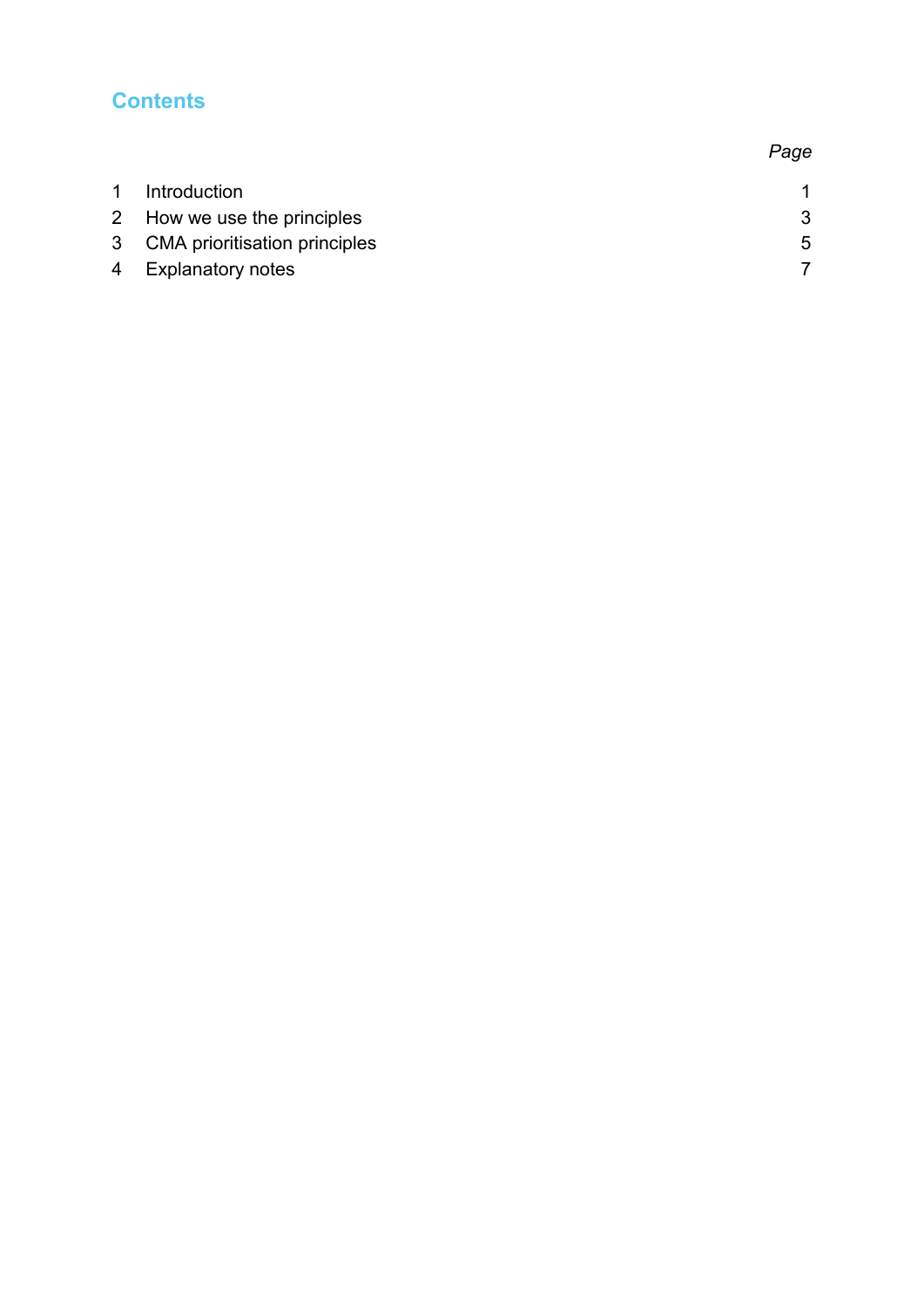# **Contents**

| $\mathbf{1}$ | Introduction                    |             |
|--------------|---------------------------------|-------------|
|              | 2 How we use the principles     | 3           |
|              | 3 CMA prioritisation principles | $5^{\circ}$ |
|              | 4 Explanatory notes             |             |
|              |                                 |             |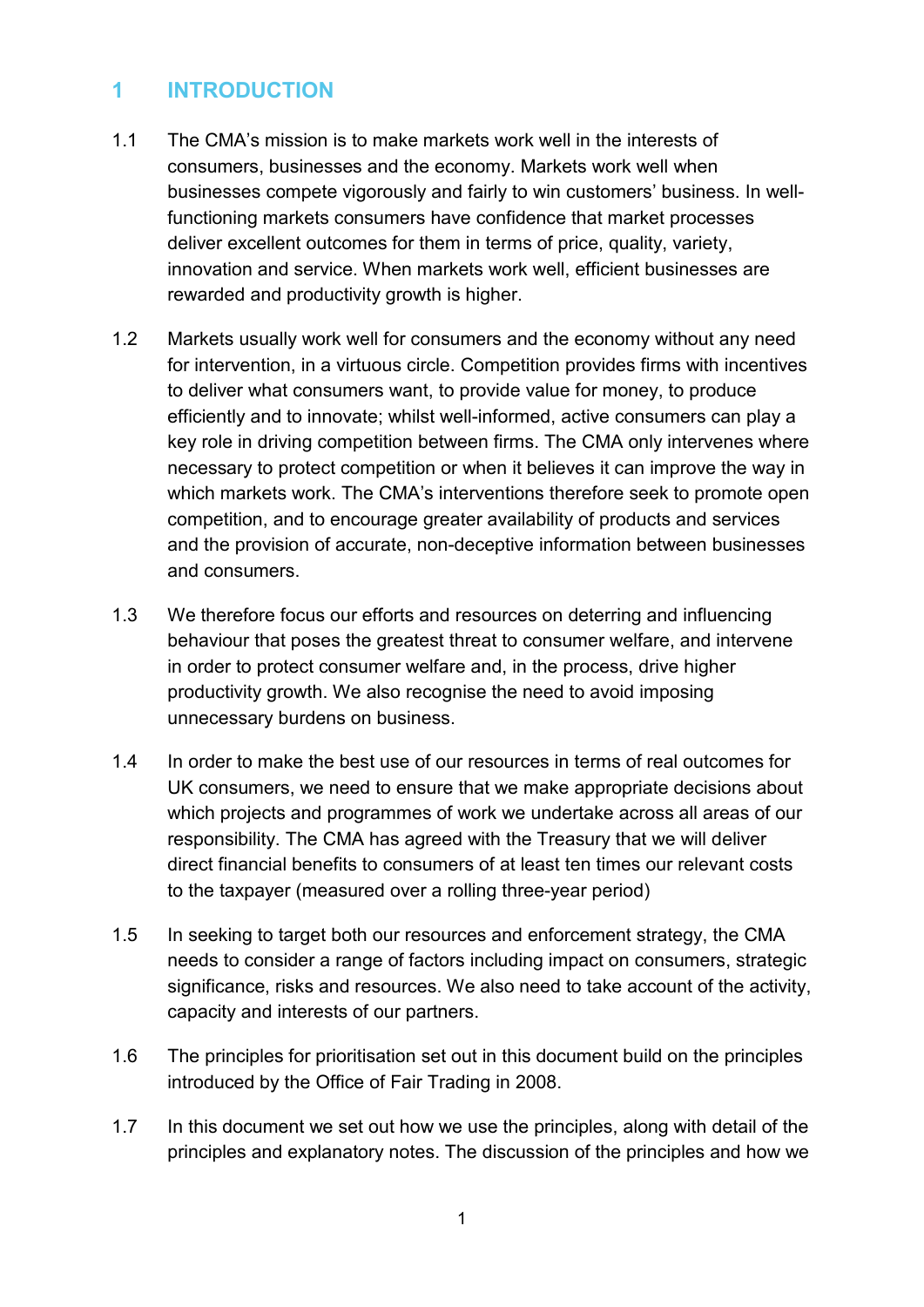# <span id="page-3-0"></span>**1 INTRODUCTION**

- 1.1 The CMA's mission is to make markets work well in the interests of consumers, businesses and the economy. Markets work well when businesses compete vigorously and fairly to win customers' business. In wellfunctioning markets consumers have confidence that market processes deliver excellent outcomes for them in terms of price, quality, variety, innovation and service. When markets work well, efficient businesses are rewarded and productivity growth is higher.
- 1.2 Markets usually work well for consumers and the economy without any need for intervention, in a virtuous circle. Competition provides firms with incentives to deliver what consumers want, to provide value for money, to produce efficiently and to innovate; whilst well-informed, active consumers can play a key role in driving competition between firms. The CMA only intervenes where necessary to protect competition or when it believes it can improve the way in which markets work. The CMA's interventions therefore seek to promote open competition, and to encourage greater availability of products and services and the provision of accurate, non-deceptive information between businesses and consumers.
- 1.3 We therefore focus our efforts and resources on deterring and influencing behaviour that poses the greatest threat to consumer welfare, and intervene in order to protect consumer welfare and, in the process, drive higher productivity growth. We also recognise the need to avoid imposing unnecessary burdens on business.
- 1.4 In order to make the best use of our resources in terms of real outcomes for UK consumers, we need to ensure that we make appropriate decisions about which projects and programmes of work we undertake across all areas of our responsibility. The CMA has agreed with the Treasury that we will deliver direct financial benefits to consumers of at least ten times our relevant costs to the taxpayer (measured over a rolling three-year period)
- 1.5 In seeking to target both our resources and enforcement strategy, the CMA needs to consider a range of factors including impact on consumers, strategic significance, risks and resources. We also need to take account of the activity, capacity and interests of our partners.
- 1.6 The principles for prioritisation set out in this document build on the principles introduced by the Office of Fair Trading in 2008.
- 1.7 In this document we set out how we use the principles, along with detail of the principles and explanatory notes. The discussion of the principles and how we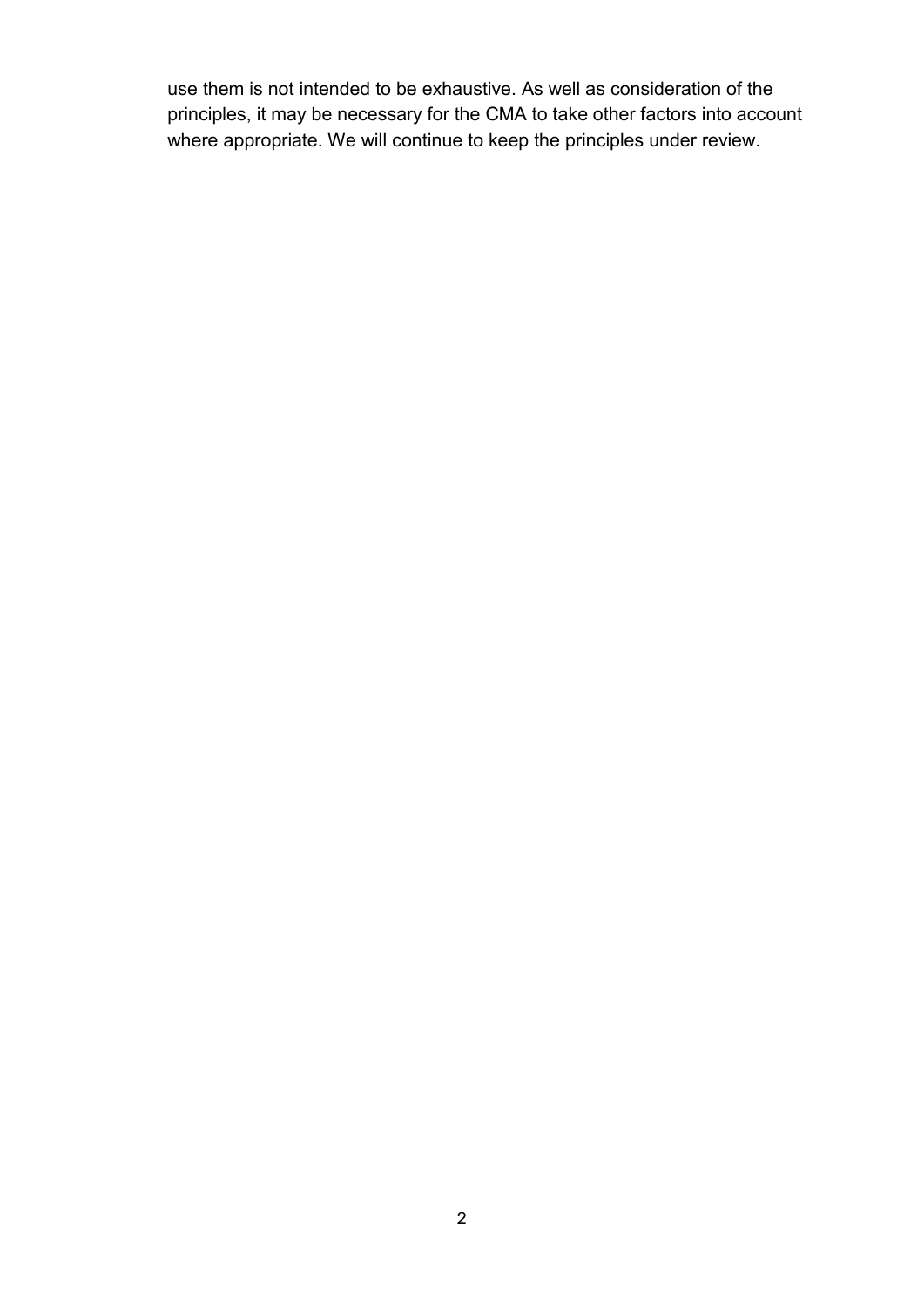principles, it may be necessary for the CMA to take other factors into account use them is not intended to be exhaustive. As well as consideration of the where appropriate. We will continue to keep the principles under review.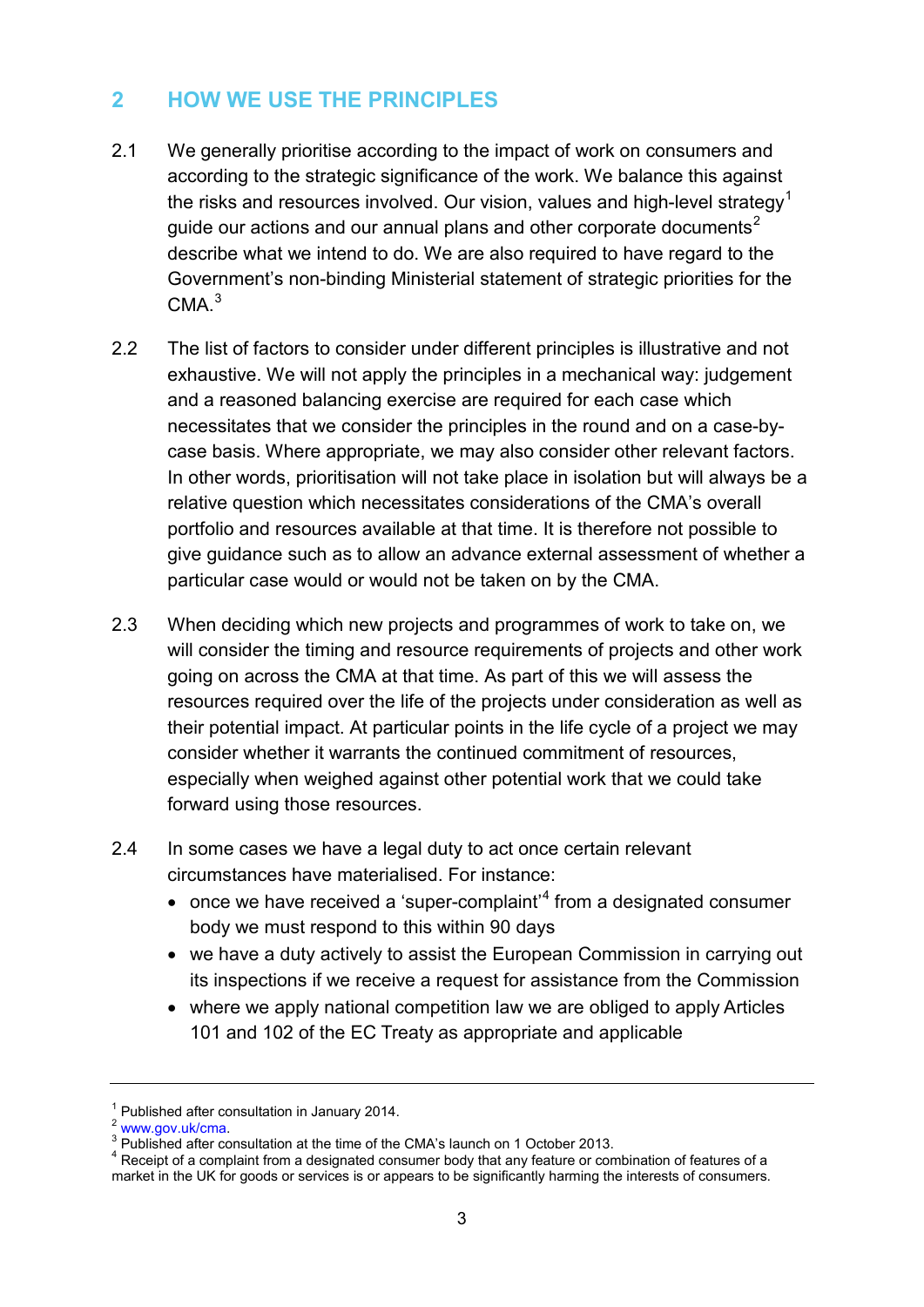# <span id="page-5-0"></span>**2 HOW WE USE THE PRINCIPLES**

- 2.1 We generally prioritise according to the impact of work on consumers and according to the strategic significance of the work. We balance this against the risks and resources involved. Our vision, values and high-level strategy<sup>1</sup> guide our actions and our annual plans and other corporate documents $^2$ describe what we intend to do. We are also required to have regard to the Government's non-binding Ministerial statement of strategic priorities for the  $CMA.<sup>3</sup>$
- 2.2 The list of factors to consider under different principles is illustrative and not exhaustive. We will not apply the principles in a mechanical way: judgement and a reasoned balancing exercise are required for each case which necessitates that we consider the principles in the round and on a case-bycase basis. Where appropriate, we may also consider other relevant factors. In other words, prioritisation will not take place in isolation but will always be a relative question which necessitates considerations of the CMA's overall portfolio and resources available at that time. It is therefore not possible to give guidance such as to allow an advance external assessment of whether a particular case would or would not be taken on by the CMA.
- 2.3 When deciding which new projects and programmes of work to take on, we will consider the timing and resource requirements of projects and other work going on across the CMA at that time. As part of this we will assess the resources required over the life of the projects under consideration as well as their potential impact. At particular points in the life cycle of a project we may consider whether it warrants the continued commitment of resources, especially when weighed against other potential work that we could take forward using those resources.
- 2.4 In some cases we have a legal duty to act once certain relevant circumstances have materialised. For instance:
	- $\bullet$  once we have received a 'super-complaint'<sup>[4](#page-5-4)</sup> from a designated consumer body we must respond to this within 90 days
	- we have a duty actively to assist the European Commission in carrying out its inspections if we receive a request for assistance from the Commission
	- where we apply national competition law we are obliged to apply Articles 101 and 102 of the EC Treaty as appropriate and applicable

<span id="page-5-2"></span>

<span id="page-5-4"></span><span id="page-5-3"></span>

<span id="page-5-1"></span><sup>&</sup>lt;sup>1</sup> Published after consultation in January 2014.<br>
<sup>2</sup> www.gov.uk/cma.<br>
<sup>3</sup> Published after consultation at the time of the CMA's launch on 1 October 2013.<br>
<sup>4</sup> Receipt of a complaint from a designated consumer body that market in the UK for goods or services is or appears to be significantly harming the interests of consumers.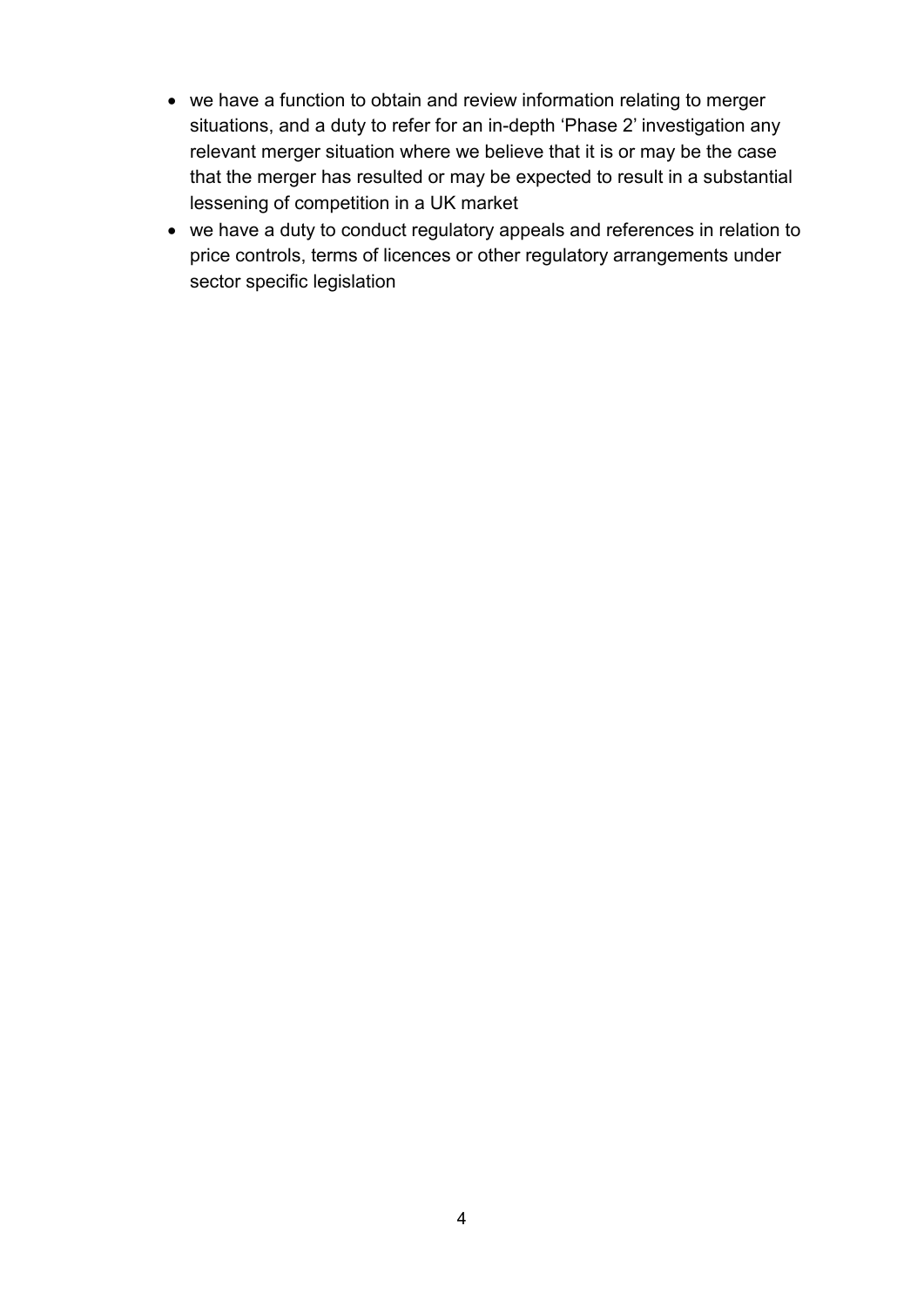- we have a function to obtain and review information relating to merger situations, and a duty to refer for an in-depth 'Phase 2' investigation any relevant merger situation where we believe that it is or may be the case that the merger has resulted or may be expected to result in a substantial lessening of competition in a UK market
- we have a duty to conduct regulatory appeals and references in relation to price controls, terms of licences or other regulatory arrangements under sector specific legislation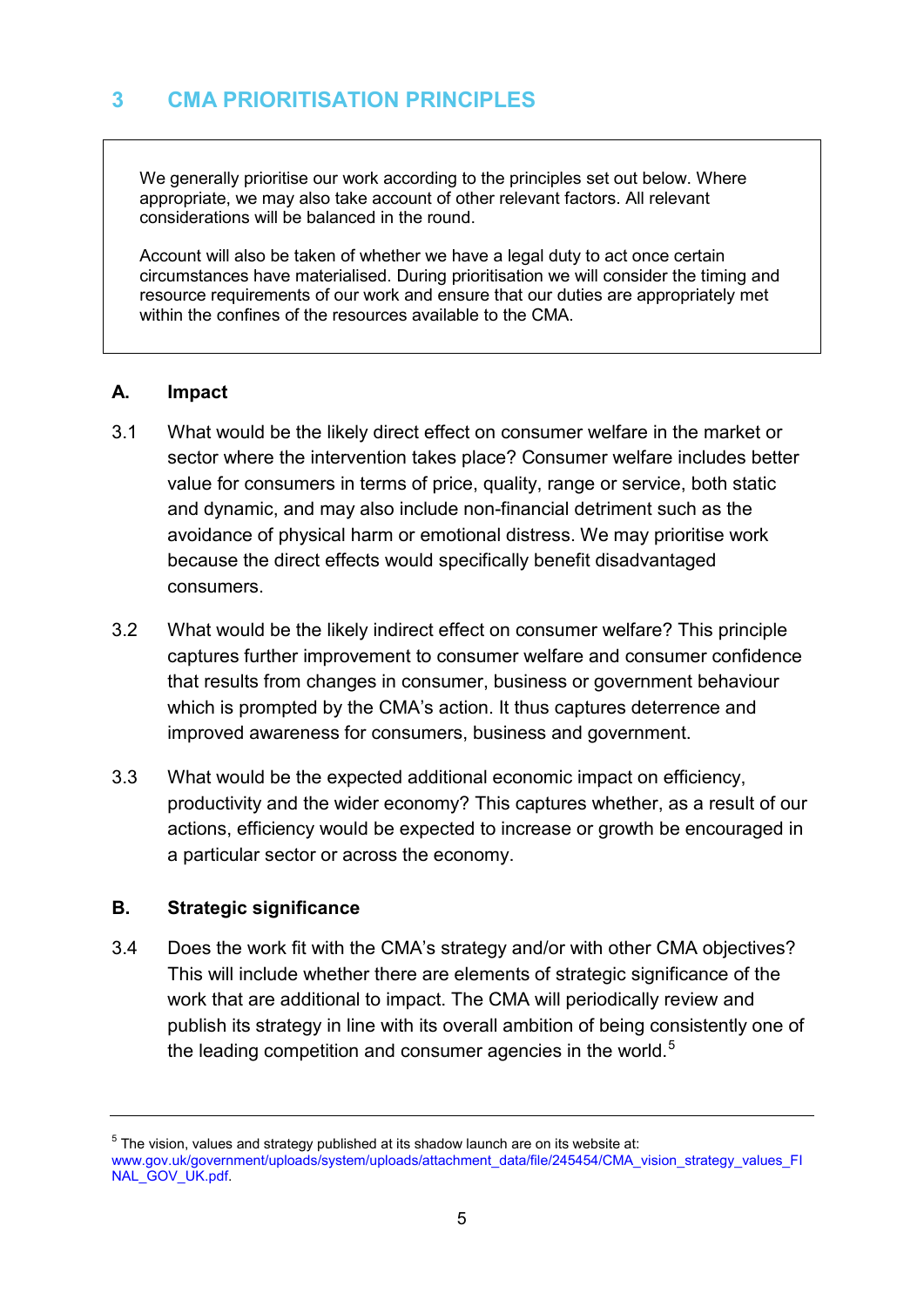<span id="page-7-0"></span>We generally prioritise our work according to the principles set out below. Where appropriate, we may also take account of other relevant factors. All relevant considerations will be balanced in the round.

Account will also be taken of whether we have a legal duty to act once certain circumstances have materialised. During prioritisation we will consider the timing and resource requirements of our work and ensure that our duties are appropriately met within the confines of the resources available to the CMA.

#### **A. Impact**

- 3.1 What would be the likely direct effect on consumer welfare in the market or sector where the intervention takes place? Consumer welfare includes better value for consumers in terms of price, quality, range or service, both static and dynamic, and may also include non-financial detriment such as the avoidance of physical harm or emotional distress. We may prioritise work because the direct effects would specifically benefit disadvantaged consumers.
- 3.2 What would be the likely indirect effect on consumer welfare? This principle captures further improvement to consumer welfare and consumer confidence that results from changes in consumer, business or government behaviour which is prompted by the CMA's action. It thus captures deterrence and improved awareness for consumers, business and government.
- 3.3 What would be the expected additional economic impact on efficiency, productivity and the wider economy? This captures whether, as a result of our actions, efficiency would be expected to increase or growth be encouraged in a particular sector or across the economy.

## **B. Strategic significance**

3.4 Does the work fit with the CMA's strategy and/or with other CMA objectives? This will include whether there are elements of strategic significance of the work that are additional to impact. The CMA will periodically review and publish its strategy in line with its overall ambition of being consistently one of the leading competition and consumer agencies in the world.<sup>[5](#page-7-1)</sup>

<span id="page-7-1"></span> $5$  The vision, values and strategy published at its shadow launch are on its website at: www.gov.uk/government/uploads/system/uploads/attachment\_data/file/245454/CMA\_vision\_strategy\_values\_FI [NAL\\_GOV\\_UK.pdf.](https://www.gov.uk/government/uploads/system/uploads/attachment_data/file/245454/CMA_vision_strategy_values_FINAL_GOV_UK.pdf)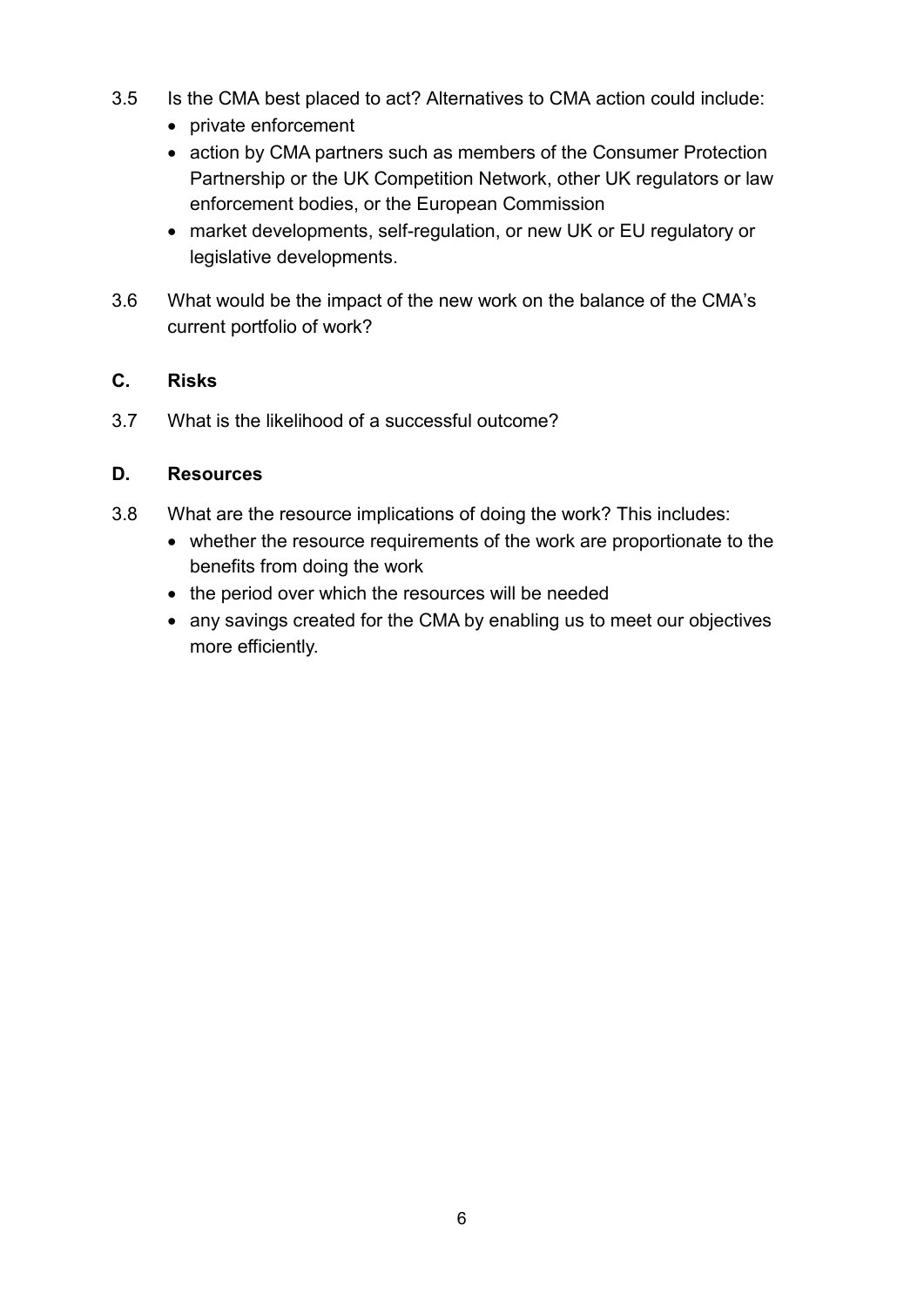- 3.5 Is the CMA best placed to act? Alternatives to CMA action could include:
	- private enforcement
	- action by CMA partners such as members of the Consumer Protection Partnership or the UK Competition Network, other UK regulators or law enforcement bodies, or the European Commission
	- market developments, self-regulation, or new UK or EU regulatory or legislative developments.
- 3.6 What would be the impact of the new work on the balance of the CMA's current portfolio of work?

# **C. Risks**

3.7 What is the likelihood of a successful outcome?

## **D. Resources**

- 3.8 What are the resource implications of doing the work? This includes:
	- whether the resource requirements of the work are proportionate to the benefits from doing the work
	- the period over which the resources will be needed
	- any savings created for the CMA by enabling us to meet our objectives more efficiently.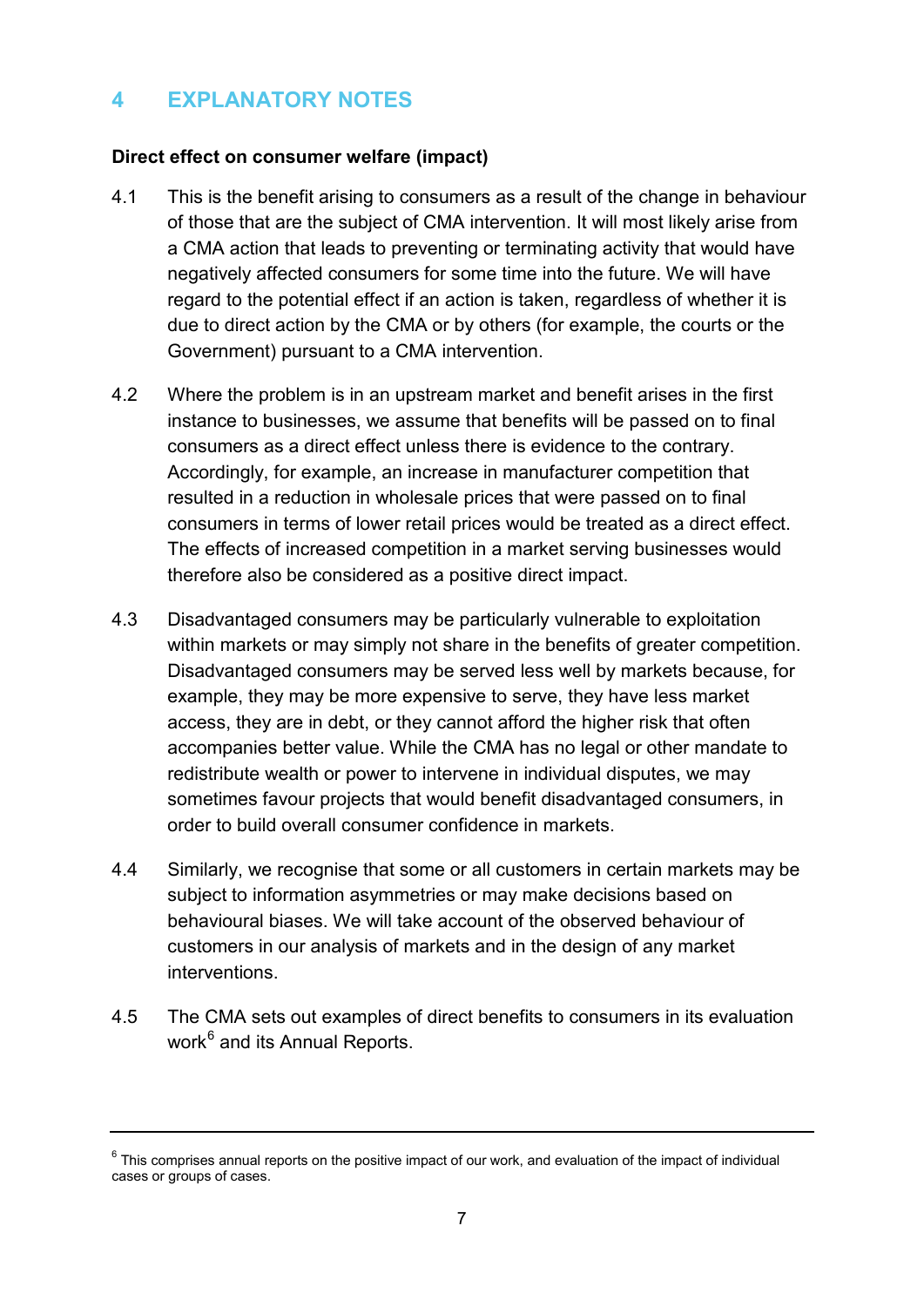# <span id="page-9-0"></span>**4 EXPLANATORY NOTES**

#### **Direct effect on consumer welfare (impact)**

- 4.1 This is the benefit arising to consumers as a result of the change in behaviour of those that are the subject of CMA intervention. It will most likely arise from a CMA action that leads to preventing or terminating activity that would have negatively affected consumers for some time into the future. We will have regard to the potential effect if an action is taken, regardless of whether it is due to direct action by the CMA or by others (for example, the courts or the Government) pursuant to a CMA intervention.
- 4.2 Where the problem is in an upstream market and benefit arises in the first instance to businesses, we assume that benefits will be passed on to final consumers as a direct effect unless there is evidence to the contrary. Accordingly, for example, an increase in manufacturer competition that resulted in a reduction in wholesale prices that were passed on to final consumers in terms of lower retail prices would be treated as a direct effect. The effects of increased competition in a market serving businesses would therefore also be considered as a positive direct impact.
- 4.3 Disadvantaged consumers may be particularly vulnerable to exploitation within markets or may simply not share in the benefits of greater competition. Disadvantaged consumers may be served less well by markets because, for example, they may be more expensive to serve, they have less market access, they are in debt, or they cannot afford the higher risk that often accompanies better value. While the CMA has no legal or other mandate to redistribute wealth or power to intervene in individual disputes, we may sometimes favour projects that would benefit disadvantaged consumers, in order to build overall consumer confidence in markets.
- 4.4 Similarly, we recognise that some or all customers in certain markets may be subject to information asymmetries or may make decisions based on behavioural biases. We will take account of the observed behaviour of customers in our analysis of markets and in the design of any market interventions.
- 4.5 The CMA sets out examples of direct benefits to consumers in its evaluation work $6$  and its Annual Reports.

<span id="page-9-1"></span> $6$  This comprises annual reports on the positive impact of our work, and evaluation of the impact of individual cases or groups of cases.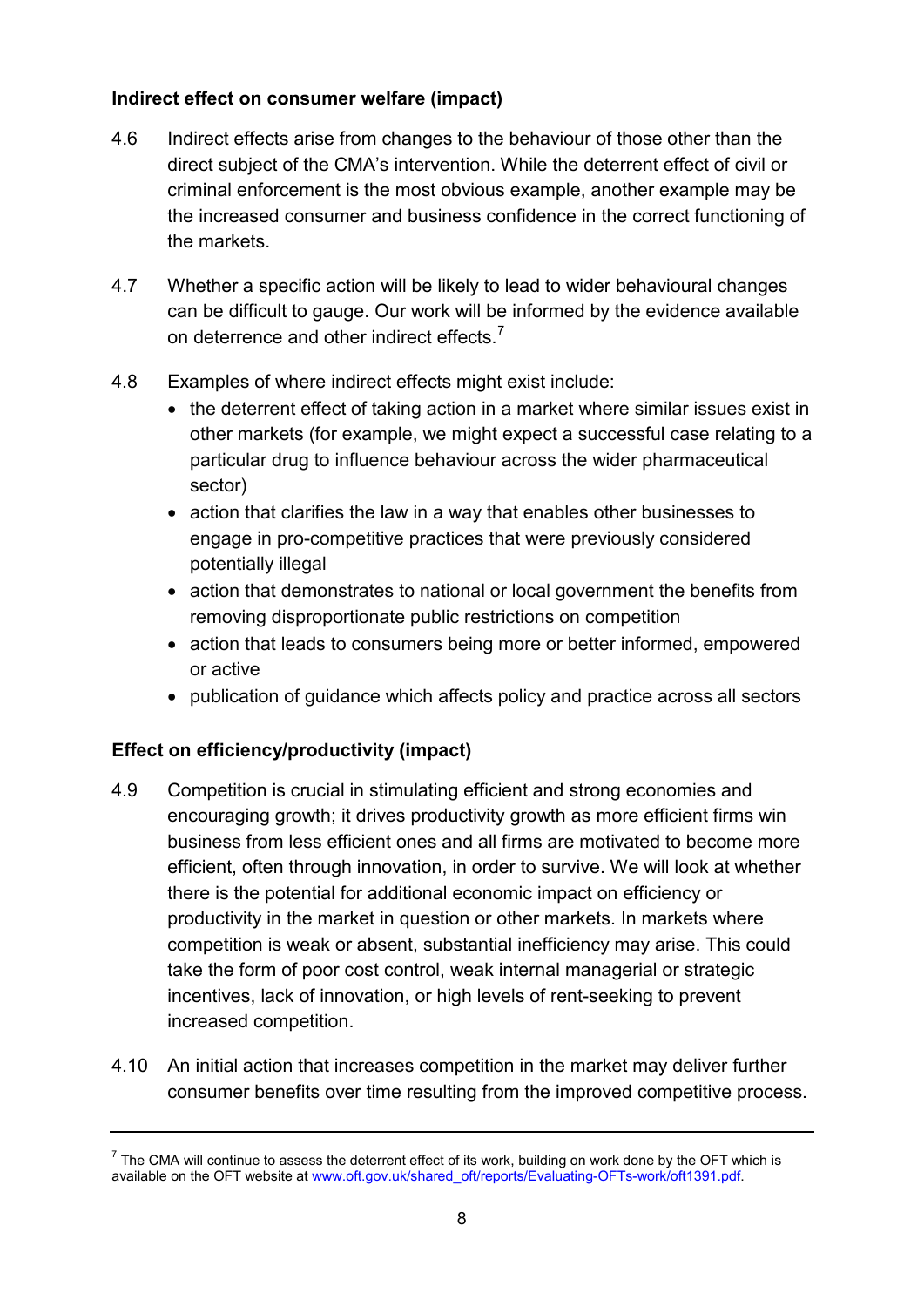# **Indirect effect on consumer welfare (impact)**

- 4.6 Indirect effects arise from changes to the behaviour of those other than the direct subject of the CMA's intervention. While the deterrent effect of civil or criminal enforcement is the most obvious example, another example may be the increased consumer and business confidence in the correct functioning of the markets.
- 4.7 Whether a specific action will be likely to lead to wider behavioural changes can be difficult to gauge. Our work will be informed by the evidence available on deterrence and other indirect effects.<sup>[7](#page-10-0)</sup>
- 4.8 Examples of where indirect effects might exist include:
	- the deterrent effect of taking action in a market where similar issues exist in other markets (for example, we might expect a successful case relating to a particular drug to influence behaviour across the wider pharmaceutical sector)
	- action that clarifies the law in a way that enables other businesses to engage in pro-competitive practices that were previously considered potentially illegal
	- action that demonstrates to national or local government the benefits from removing disproportionate public restrictions on competition
	- action that leads to consumers being more or better informed, empowered or active
	- publication of guidance which affects policy and practice across all sectors

# **Effect on efficiency/productivity (impact)**

- 4.9 Competition is crucial in stimulating efficient and strong economies and encouraging growth; it drives productivity growth as more efficient firms win business from less efficient ones and all firms are motivated to become more efficient, often through innovation, in order to survive. We will look at whether there is the potential for additional economic impact on efficiency or productivity in the market in question or other markets. In markets where competition is weak or absent, substantial inefficiency may arise. This could take the form of poor cost control, weak internal managerial or strategic incentives, lack of innovation, or high levels of rent-seeking to prevent increased competition.
- 4.10 An initial action that increases competition in the market may deliver further consumer benefits over time resulting from the improved competitive process.

<span id="page-10-0"></span> $^7$  The CMA will continue to assess the deterrent effect of its work, building on work done by the OFT which is available on the OFT website at [www.oft.gov.uk/shared\\_oft/reports/Evaluating-OFTs-work/oft1391.pdf.](http://www.oft.gov.uk/shared_oft/reports/Evaluating-OFTs-work/oft1391.pdf)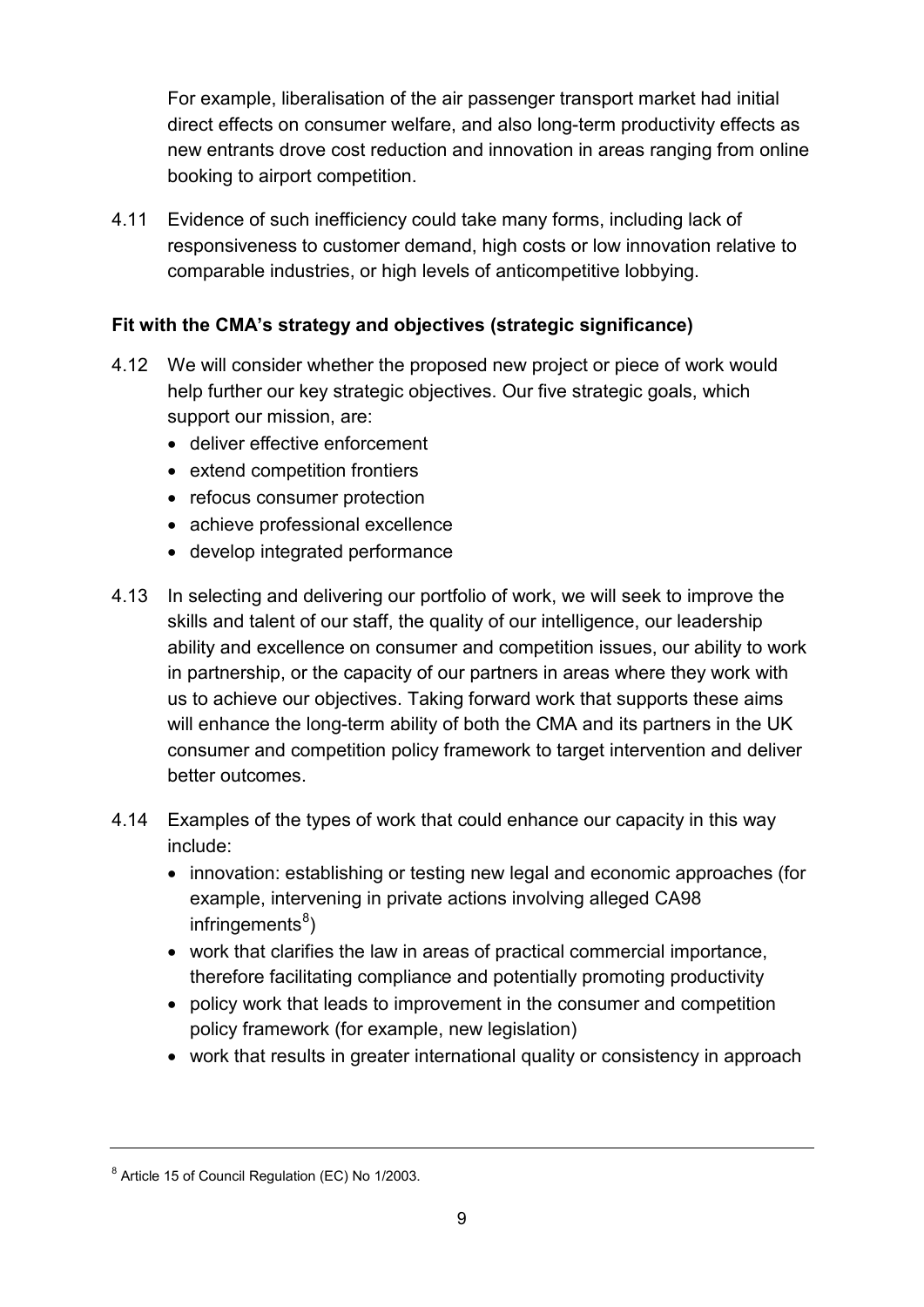For example, liberalisation of the air passenger transport market had initial direct effects on consumer welfare, and also long-term productivity effects as new entrants drove cost reduction and innovation in areas ranging from online booking to airport competition.

 responsiveness to customer demand, high costs or low innovation relative to 4.11 Evidence of such inefficiency could take many forms, including lack of comparable industries, or high levels of anticompetitive lobbying.

# **Fit with the CMA's strategy and objectives (strategic significance)**

- 4.12 We will consider whether the proposed new project or piece of work would help further our key strategic objectives. Our five strategic goals, which support our mission, are:
	- deliver effective enforcement
	- extend competition frontiers
	- refocus consumer protection
	- achieve professional excellence
	- develop integrated performance
- 4.13 In selecting and delivering our portfolio of work, we will seek to improve the skills and talent of our staff, the quality of our intelligence, our leadership ability and excellence on consumer and competition issues, our ability to work in partnership, or the capacity of our partners in areas where they work with us to achieve our objectives. Taking forward work that supports these aims will enhance the long-term ability of both the CMA and its partners in the UK consumer and competition policy framework to target intervention and deliver better outcomes.
- 4.14 Examples of the types of work that could enhance our capacity in this way include:
	- innovation: establishing or testing new legal and economic approaches (for example, intervening in private actions involving alleged CA98 infringements<sup>[8](#page-11-0)</sup>)
	- work that clarifies the law in areas of practical commercial importance, therefore facilitating compliance and potentially promoting productivity
	- policy work that leads to improvement in the consumer and competition policy framework (for example, new legislation)
	- work that results in greater international quality or consistency in approach

<span id="page-11-0"></span><sup>8</sup> Article 15 of Council Regulation (EC) No 1/2003.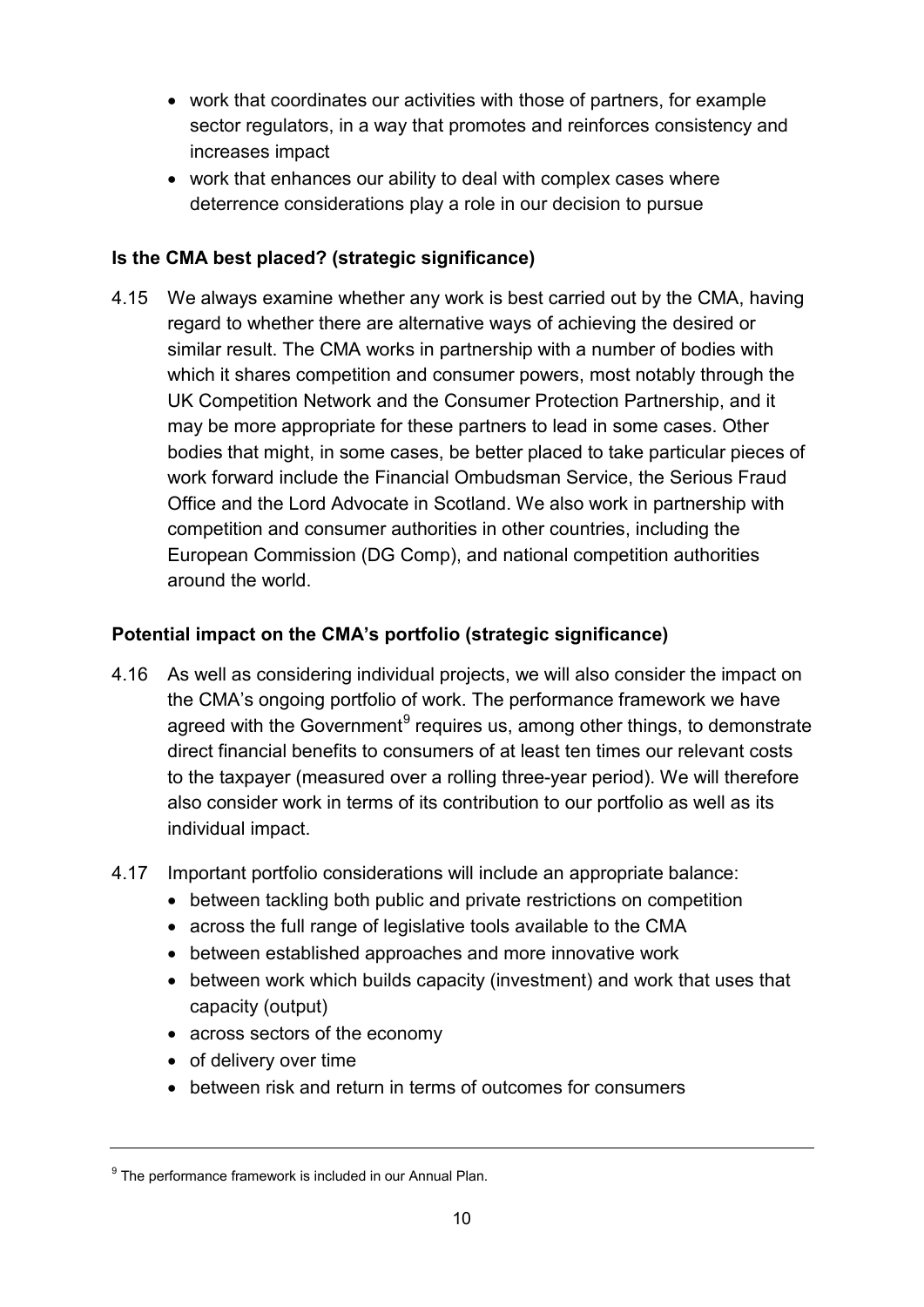- work that coordinates our activities with those of partners, for example sector regulators, in a way that promotes and reinforces consistency and increases impact
- work that enhances our ability to deal with complex cases where deterrence considerations play a role in our decision to pursue

# **Is the CMA best placed? (strategic significance)**

4.15 We always examine whether any work is best carried out by the CMA, having regard to whether there are alternative ways of achieving the desired or similar result. The CMA works in partnership with a number of bodies with which it shares competition and consumer powers, most notably through the UK Competition Network and the Consumer Protection Partnership, and it may be more appropriate for these partners to lead in some cases. Other bodies that might, in some cases, be better placed to take particular pieces of work forward include the Financial Ombudsman Service, the Serious Fraud Office and the Lord Advocate in Scotland. We also work in partnership with competition and consumer authorities in other countries, including the European Commission (DG Comp), and national competition authorities around the world.

# **Potential impact on the CMA's portfolio (strategic significance)**

- 4.16 As well as considering individual projects, we will also consider the impact on the CMA's ongoing portfolio of work. The performance framework we have agreed with the Government<sup>[9](#page-12-0)</sup> requires us, among other things, to demonstrate direct financial benefits to consumers of at least ten times our relevant costs to the taxpayer (measured over a rolling three-year period). We will therefore also consider work in terms of its contribution to our portfolio as well as its individual impact.
- 4.17 Important portfolio considerations will include an appropriate balance:
	- between tackling both public and private restrictions on competition
	- across the full range of legislative tools available to the CMA
	- between established approaches and more innovative work
	- between work which builds capacity (investment) and work that uses that capacity (output)
	- across sectors of the economy
	- of delivery over time
	- between risk and return in terms of outcomes for consumers

<span id="page-12-0"></span> $9$  The performance framework is included in our Annual Plan.